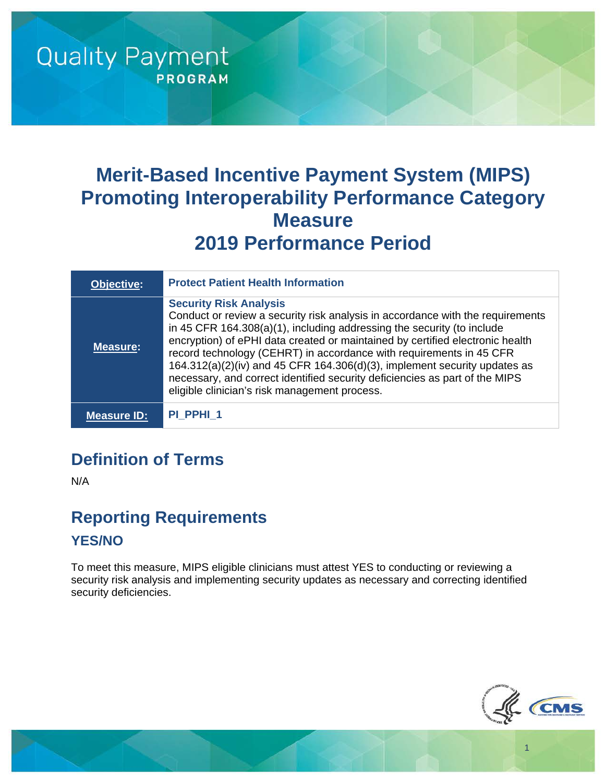# **Merit-Based Incentive Payment System (MIPS) Promoting Interoperability Performance Category Measure 2019 Performance Period**

| <b>Objective:</b> | <b>Protect Patient Health Information</b>                                                                                                                                                                                                                                                                                                                                                                                                                                                                                                                           |
|-------------------|---------------------------------------------------------------------------------------------------------------------------------------------------------------------------------------------------------------------------------------------------------------------------------------------------------------------------------------------------------------------------------------------------------------------------------------------------------------------------------------------------------------------------------------------------------------------|
| <b>Measure:</b>   | <b>Security Risk Analysis</b><br>Conduct or review a security risk analysis in accordance with the requirements<br>in 45 CFR 164.308(a)(1), including addressing the security (to include<br>encryption) of ePHI data created or maintained by certified electronic health<br>record technology (CEHRT) in accordance with requirements in 45 CFR<br>$164.312(a)(2)(iv)$ and 45 CFR $164.306(d)(3)$ , implement security updates as<br>necessary, and correct identified security deficiencies as part of the MIPS<br>eligible clinician's risk management process. |
| Measure ID:       | PI PPHI 1                                                                                                                                                                                                                                                                                                                                                                                                                                                                                                                                                           |

## **Definition of Terms**

**Quality Payment** 

**PROGRAM** 

N/A

#### **Reporting Requirements YES/NO**

To meet this measure, MIPS eligible clinicians must attest YES to conducting or reviewing a security risk analysis and implementing security updates as necessary and correcting identified security deficiencies.



1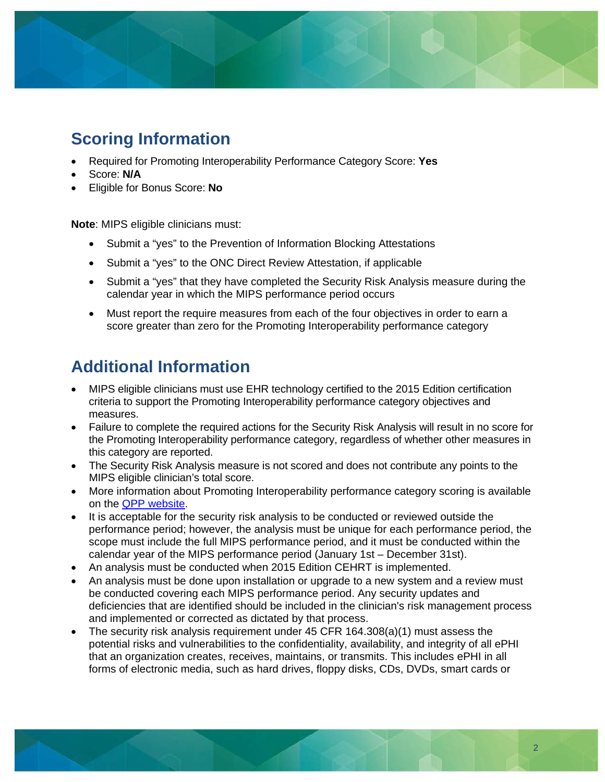

## **Scoring Information**

- Required for Promoting Interoperability Performance Category Score: **Yes**
- Score: **N/A**
- Eligible for Bonus Score: **No**

**Note**: MIPS eligible clinicians must:

- Submit a "yes" to the Prevention of Information Blocking Attestations
- Submit a "yes" to the ONC Direct Review Attestation, if applicable
- Submit a "yes" that they have completed the Security Risk Analysis measure during the calendar year in which the MIPS performance period occurs
- Must report the require measures from each of the four objectives in order to earn a score greater than zero for the Promoting Interoperability performance category

#### **Additional Information**

- MIPS eligible clinicians must use EHR technology certified to the 2015 Edition certification criteria to support the Promoting Interoperability performance category objectives and measures.
- Failure to complete the required actions for the Security Risk Analysis will result in no score for the Promoting Interoperability performance category, regardless of whether other measures in this category are reported.
- The Security Risk Analysis measure is not scored and does not contribute any points to the MIPS eligible clinician's total score.
- More information about Promoting Interoperability performance category scoring is available on the [QPP website.](https://qpp.cms.gov/)
- It is acceptable for the security risk analysis to be conducted or reviewed outside the performance period; however, the analysis must be unique for each performance period, the scope must include the full MIPS performance period, and it must be conducted within the calendar year of the MIPS performance period (January 1st – December 31st).
- An analysis must be conducted when 2015 Edition CEHRT is implemented.
- An analysis must be done upon installation or upgrade to a new system and a review must be conducted covering each MIPS performance period. Any security updates and deficiencies that are identified should be included in the clinician's risk management process and implemented or corrected as dictated by that process.
- The security risk analysis requirement under  $45$  CFR  $164.308(a)(1)$  must assess the potential risks and vulnerabilities to the confidentiality, availability, and integrity of all ePHI that an organization creates, receives, maintains, or transmits. This includes ePHI in all forms of electronic media, such as hard drives, floppy disks, CDs, DVDs, smart cards or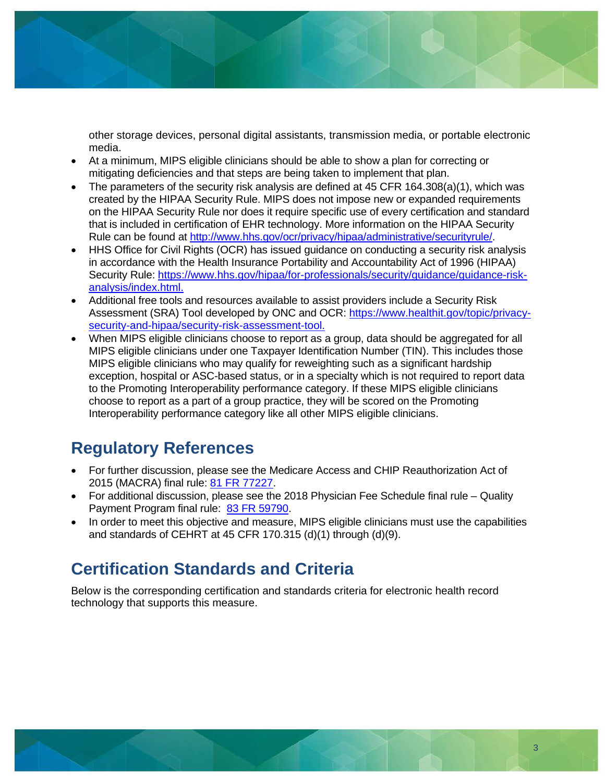other storage devices, personal digital assistants, transmission media, or portable electronic media.

- At a minimum, MIPS eligible clinicians should be able to show a plan for correcting or mitigating deficiencies and that steps are being taken to implement that plan.
- The parameters of the security risk analysis are defined at 45 CFR 164.308(a)(1), which was created by the HIPAA Security Rule. MIPS does not impose new or expanded requirements on the HIPAA Security Rule nor does it require specific use of every certification and standard that is included in certification of EHR technology. More information on the HIPAA Security Rule can be found at [http://www.hhs.gov/ocr/privacy/hipaa/administrative/securityrule/.](http://www.hhs.gov/ocr/privacy/hipaa/administrative/securityrule/)
- HHS Office for Civil Rights (OCR) has issued guidance on conducting a security risk analysis in accordance with the Health Insurance Portability and Accountability Act of 1996 (HIPAA) Security Rule: [https://www.hhs.gov/hipaa/for-professionals/security/guidance/guidance-risk](https://www.hhs.gov/hipaa/for-professionals/security/guidance/guidance-risk-analysis/index.html?language=es)[analysis/index.html.](https://www.hhs.gov/hipaa/for-professionals/security/guidance/guidance-risk-analysis/index.html?language=es)
- Additional free tools and resources available to assist providers include a Security Risk Assessment (SRA) Tool developed by ONC and OCR: [https://www.healthit.gov/topic/privacy](https://www.healthit.gov/topic/privacy-security-and-hipaa/security-risk-assessment-tool)[security-and-hipaa/security-risk-assessment-tool.](https://www.healthit.gov/topic/privacy-security-and-hipaa/security-risk-assessment-tool)
- When MIPS eligible clinicians choose to report as a group, data should be aggregated for all MIPS eligible clinicians under one Taxpayer Identification Number (TIN). This includes those MIPS eligible clinicians who may qualify for reweighting such as a significant hardship exception, hospital or ASC-based status, or in a specialty which is not required to report data to the Promoting Interoperability performance category. If these MIPS eligible clinicians choose to report as a part of a group practice, they will be scored on the Promoting Interoperability performance category like all other MIPS eligible clinicians.

#### **Regulatory References**

- For further discussion, please see the Medicare Access and CHIP Reauthorization Act of 2015 (MACRA) final rule: [81 FR 77227.](https://www.federalregister.gov/d/2016-25240/p-2796)
- For additional discussion, please see the 2018 Physician Fee Schedule final rule Quality Payment Program final rule: [83 FR 59790.](https://www.federalregister.gov/d/2018-24170/p-3210)
- In order to meet this objective and measure, MIPS eligible clinicians must use the capabilities and standards of CEHRT at 45 CFR 170.315 (d)(1) through (d)(9).

#### **Certification Standards and Criteria**

Below is the corresponding certification and standards criteria for electronic health record technology that supports this measure.